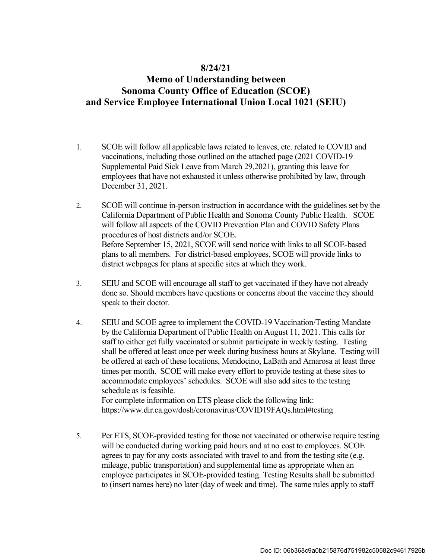#### **8/24/21**

## **Memo of Understanding between Sonoma County Office of Education (SCOE) and Service Employee International Union Local 1021 (SEIU)**

- 1. SCOE will follow all applicable laws related to leaves, etc. related to COVID and Supplemental Paid Sick Leave from March 29,2021), granting this leave for employees that have not exhausted it unless otherwise prohibited by law, through December 31, 2021. vaccinations, including those outlined on the attached page (2021 COVID-19
- 2. SCOE will continue in-person instruction in accordance with the guidelines set by the California Department of Public Health and Sonoma County Public Health. SCOE will follow all aspects of the COVID Prevention Plan and COVID Safety Plans procedures of host districts and/or SCOE. Before September 15, 2021, SCOE will send notice with links to all SCOE-based plans to all members. For district-based employees, SCOE will provide links to district webpages for plans at specific sites at which they work.
- 3. SEIU and SCOE will encourage all staff to get vaccinated if they have not already done so. Should members have questions or concerns about the vaccine they should speak to their doctor.
- 4. SEIU and SCOE agree to implement the COVID-19 Vaccination/Testing Mandate by the California Department of Public Health on August 11, 2021. This calls for staff to either get fully vaccinated or submit participate in weekly testing. Testing shall be offered at least once per week during business hours at Skylane. Testing will be offered at each of these locations, Mendocino, LaBath and Amarosa at least three times per month. SCOE will make every effort to provide testing at these sites to accommodate employees' schedules. SCOE will also add sites to the testing schedule as is feasible.

 For complete information on ETS please click the following link: <https://www.dir.ca.gov/dosh/coronavirus/COVID19FAQs.html#testing>

 5. Per ETS, SCOE-provided testing for those not vaccinated or otherwise require testing will be conducted during working paid hours and at no cost to employees. SCOE agrees to pay for any costs associated with travel to and from the testing site (e.g. mileage, public transportation) and supplemental time as appropriate when an employee participates in SCOE-provided testing. Testing Results shall be submitted to (insert names here) no later (day of week and time). The same rules apply to staff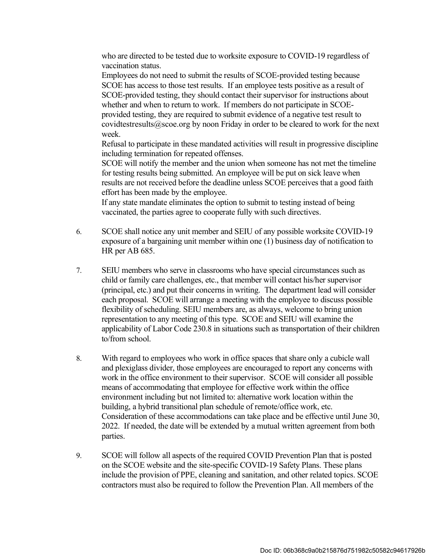who are directed to be tested due to worksite exposure to COVID-19 regardless of vaccination status.

 Employees do not need to submit the results of SCOE-provided testing because SCOE has access to those test results. If an employee tests positive as a result of SCOE-provided testing, they should contact their supervisor for instructions about whether and when to return to work. If members do not participate in SCOE- provided testing, they are required to submit evidence of a negative test result to [covidtestresults@scoe.org](mailto:covidtestresults@scoe.org) by noon Friday in order to be cleared to work for the next week.

 Refusal to participate in these mandated activities will result in progressive discipline including termination for repeated offenses.

 SCOE will notify the member and the union when someone has not met the timeline for testing results being submitted. An employee will be put on sick leave when results are not received before the deadline unless SCOE perceives that a good faith effort has been made by the employee.

 If any state mandate eliminates the option to submit to testing instead of being vaccinated, the parties agree to cooperate fully with such directives.

- 6. SCOE shall notice any unit member and SEIU of any possible worksite COVID-19 exposure of a bargaining unit member within one (1) business day of notification to HR per AB 685.
- 7. SEIU members who serve in classrooms who have special circumstances such as child or family care challenges, etc., that member will contact his/her supervisor (principal, etc.) and put their concerns in writing. The department lead will consider each proposal. SCOE will arrange a meeting with the employee to discuss possible flexibility of scheduling. SEIU members are, as always, welcome to bring union representation to any meeting of this type. SCOE and SEIU will examine the applicability of Labor Code 230.8 in situations such as transportation of their children to/from school.
- 8. With regard to employees who work in office spaces that share only a cubicle wall and plexiglass divider, those employees are encouraged to report any concerns with work in the office environment to their supervisor. SCOE will consider all possible means of accommodating that employee for effective work within the office environment including but not limited to: alternative work location within the Consideration of these accommodations can take place and be effective until June 30, 2022. If needed, the date will be extended by a mutual written agreement from both building, a hybrid transitional plan schedule of remote/office work, etc. parties.
- 9. SCOE will follow all aspects of the required COVID Prevention Plan that is posted on the SCOE website and the site-specific COVID-19 Safety Plans. These plans include the provision of PPE, cleaning and sanitation, and other related topics. SCOE contractors must also be required to follow the Prevention Plan. All members of the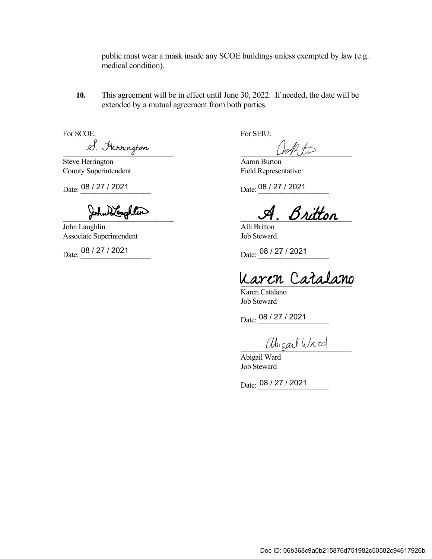public must wear a mask inside any SCOE buildings unless exempted by law (e.g. medical condition).

 **10.** This agreement will be in effect until June 30, 2022. If needed, the date will be extended by a mutual agreement from both parties.

For SCOE:

\_\_\_\_\_\_\_\_\_\_\_\_\_\_\_\_\_\_\_\_\_\_\_\_\_\_\_\_\_\_

 Steve Herrington County Superintendent

Date:  $\frac{08/27/2021}{b}$ For SCOE:<br>
Steve Herrington<br>
Steve Herrington<br>
County Superintendent<br>
Date:  $\frac{08/27/2021}{204}$ <br>
Date:  $\frac{08}{27/2021}$ <br>
Date:  $\frac{08}{27/2021}$ <br>
Date:  $\frac{08}{27/2021}$ <br>
Date:  $\frac{08}{27/2021}$ <br>
Date:  $\frac{08}{27/2021}$ <br>
Dat

John Laughlin Associate Superintendent

Date: 08 / 27 / 2021

Aaron Burton Field Representative

08 / 27 / 2021 **Date:** 08 / 27 / 2021

 $\frac{L V}{\text{2}}$ <br>Steve Herrington<br>County Superintendent<br>Date:  $\frac{08/27/2021}{2000}$ <br>Date:  $\frac{08/27/2021}{2000}$ <br>Date:  $\frac{08/27/2021}{2000}$ \_\_\_\_\_\_\_\_\_\_\_\_\_\_\_\_\_\_\_\_\_\_\_\_\_\_\_\_\_\_

Alli Britton Job Steward

08 / 27 / 2021 **Date:** 08 / 27 / 2021

Karen Catalano

Karen Catalano Job Steward

Date: 08 / 27 / 2021

abigail Ward

Abigail Ward Job Steward

Date: 08 / 27 / 2021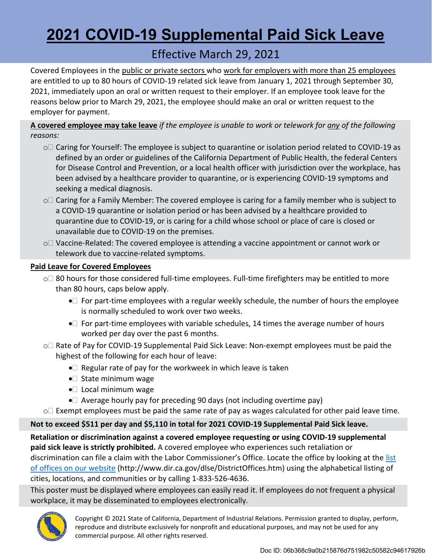# **2021 COVID-19 Supplemental Paid Sick Leave**

# Effective March 29, 2021

Covered Employees in the public or private sectors who work for employers with more than 25 employees are entitled to up to 80 hours of COVID-19 related sick leave from January 1, 2021 through September 30, 2021, immediately upon an oral or written request to their employer. If an employee took leave for the reasons below prior to March 29, 2021, the employee should make an oral or written request to the employer for payment.

 **A covered employee may take leave** *if the employee is unable to work or telework for any of the following reasons:* 

- $\circ\Box$  Caring for Yourself: The employee is subject to quarantine or isolation period related to COVID-19 as defined by an order or guidelines of the California Department of Public Health, the federal Centers for Disease Control and Prevention, or a local health officer with jurisdiction over the workplace, has been advised by a healthcare provider to quarantine, or is experiencing COVID-19 symptoms and seeking a medical diagnosis.
- $\circ\Box$  Caring for a Family Member: The covered employee is caring for a family member who is subject to a COVID-19 quarantine or isolation period or has been advised by a healthcare provided to quarantine due to COVID-19, or is caring for a child whose school or place of care is closed or unavailable due to COVID-19 on the premises.
- $\circ\Box$  Vaccine-Related: The covered employee is attending a vaccine appointment or cannot work or telework due to vaccine-related symptoms.

#### **Paid Leave for Covered Employees**

- $\circ\Box$  80 hours for those considered full-time employees. Full-time firefighters may be entitled to more than 80 hours, caps below apply.
	- • $\square$  For part-time employees with a regular weekly schedule, the number of hours the employee is normally scheduled to work over two weeks.
	- $\bullet$  For part-time employees with variable schedules, 14 times the average number of hours worked per day over the past 6 months.
- $\circ\Box$  Rate of Pay for COVID-19 Supplemental Paid Sick Leave: Non-exempt employees must be paid the highest of the following for each hour of leave:
	- $\bullet \Box$  Regular rate of pay for the workweek in which leave is taken
	- $\bullet$  State minimum wage
	- $\bullet$  Local minimum wage
	- $\bullet$  Average hourly pay for preceding 90 days (not including overtime pay)
- $\circ\Box$  Exempt employees must be paid the same rate of pay as wages calculated for other paid leave time.

### **Not to exceed \$511 per day and \$5,110 in total for 2021 COVID-19 Supplemental Paid Sick leave.**

 **Retaliation or discrimination against a covered employee requesting or using COVID-19 supplemental paid sick leave is strictly prohibited.** A covered employee who experiences such retaliation or discrimination can file a claim with the Labor Commissioner's Office. Locate the office by looking at the list of offices on our website [\(http://www.dir.ca.gov/dlse/DistrictOffices.htm](http://www.dir.ca.gov/dlse/DistrictOffices.htm)) using the alphabetical listing of cities, locations, and communities or by calling 1-833-526-4636.

 This poster must be displayed where employees can easily read it. If employees do not frequent a physical workplace, it may be disseminated to employees electronically.



 Copyright © 2021 State of California, Department of Industrial Relations. Permission granted to display, perform, reproduce and distribute exclusively for nonprofit and educational purposes, and may not be used for any commercial purpose. All other rights reserved.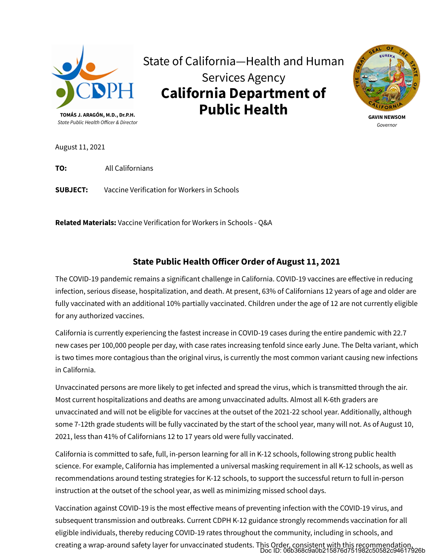

State of California—Health and Human Services Agency **California Department of Public Health** 



**GAVIN NEWSOM**  *Governor* 

August 11, 2021

**TO:** All Californians

**SUBJECT:** Vaccine Verification for Workers in Schools

**Related Materials:** Vaccine Verification for Workers in Schools - Q&A

#### **State Public Health O�icer Order of August 11, 2021**

The COVID-19 pandemic remains a significant challenge in California. COVID-19 vaccines are effective in reducing infection, serious disease, hospitalization, and death. At present, 63% of Californians 12 years of age and older are fully vaccinated with an additional 10% partially vaccinated. Children under the age of 12 are not currently eligible for any authorized vaccines.

California is currently experiencing the fastest increase in COVID-19 cases during the entire pandemic with 22.7 new cases per 100,000 people per day, with case rates increasing tenfold since early June. The Delta variant, which is two times more contagious than the original virus, is currently the most common variant causing new infections in California.

Unvaccinated persons are more likely to get infected and spread the virus, which is transmitted through the air. Most current hospitalizations and deaths are among unvaccinated adults. Almost all K-6th graders are unvaccinated and will not be eligible for vaccines at the outset of the 2021-22 school year. Additionally, although some 7-12th grade students will be fully vaccinated by the start of the school year, many will not. As of August 10, 2021, less than 41% of Californians 12 to 17 years old were fully vaccinated.

California is committed to safe, full, in-person learning for all in K-12 schools, following strong public health science. For example, California has implemented a universal masking requirement in all K-12 schools, as well as recommendations around testing strategies for K-12 schools, to support the successful return to full in-person instruction at the outset of the school year, as well as minimizing missed school days.

creating a wrap-around safety layer for unvaccinated students. This Order, consistent with this recommendation<br>Doc ID: 06b368c9a0b215876d751982c50582c94617926b Vaccination against COVID-19 is the most effective means of preventing infection with the COVID-19 virus, and subsequent transmission and outbreaks. Current CDPH K-12 guidance strongly recommends vaccination for all eligible individuals, thereby reducing COVID-19 rates throughout the community, including in schools, and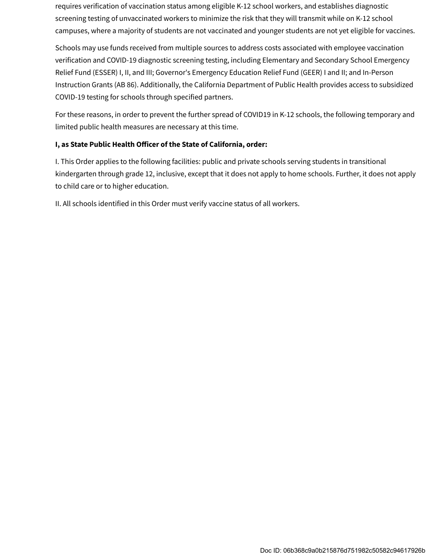requires verification of vaccination status among eligible K-12 school workers, and establishes diagnostic screening testing of unvaccinated workers to minimize the risk that they will transmit while on K-12 school campuses, where a majority of students are not vaccinated and younger students are not yet eligible for vaccines.

Schools may use funds received from multiple sources to address costs associated with employee vaccination verification and COVID-19 diagnostic screening testing, including Elementary and Secondary School Emergency Relief Fund (ESSER) I, II, and III; Governor's Emergency Education Relief Fund (GEER) I and II; and In-Person Instruction Grants (AB 86). Additionally, the California Department of Public Health provides access to subsidized COVID-19 testing for schools through specified partners.

For these reasons, in order to prevent the further spread of COVID19 in K-12 schools, the following temporary and limited public health measures are necessary at this time.

#### **I, as State Public Health O�icer of the State of California, order:**

I. This Order applies to the following facilities: public and private schools serving students in transitional kindergarten through grade 12, inclusive, except that it does not apply to home schools. Further, it does not apply to child care or to higher education.

II. All schools identified in this Order must verify vaccine status of all workers.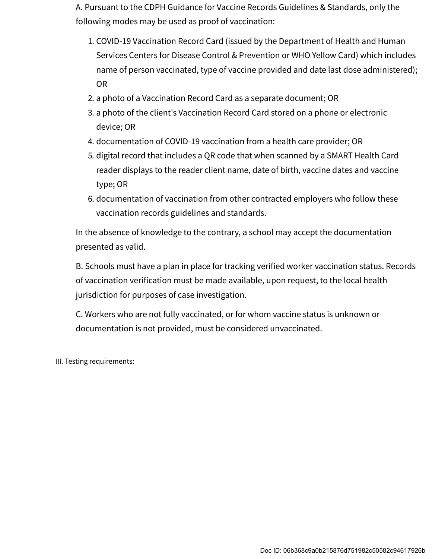A. Pursuant to the CDPH Guidance for Vaccine Records Guidelines & Standards, only the following modes may be used as proof of vaccination:

- 1. COVID-19 Vaccination Record Card (issued by the Department of Health and Human Services Centers for Disease Control & Prevention or WHO Yellow Card) which includes name of person vaccinated, type of vaccine provided and date last dose administered); OR
- 2. a photo of a Vaccination Record Card as a separate document; OR
- 3. a photo of the client's Vaccination Record Card stored on a phone or electronic device; OR
- 4. documentation of COVID-19 vaccination from a health care provider; OR
- 5. digital record that includes a QR code that when scanned by a SMART Health Card reader displays to the reader client name, date of birth, vaccine dates and vaccine type; OR
- 6. documentation of vaccination from other contracted employers who follow these vaccination records guidelines and standards.

In the absence of knowledge to the contrary, a school may accept the documentation presented as valid.

B. Schools must have a plan in place for tracking verified worker vaccination status. Records of vaccination verification must be made available, upon request, to the local health jurisdiction for purposes of case investigation.

C. Workers who are not fully vaccinated, or for whom vaccine status is unknown or documentation is not provided, must be considered unvaccinated.

III. Testing requirements: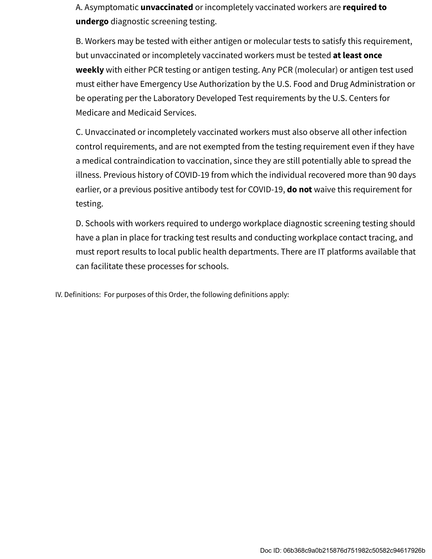A. Asymptomatic **unvaccinated** or incompletely vaccinated workers are **required to undergo** diagnostic screening testing.

B. Workers may be tested with either antigen or molecular tests to satisfy this requirement, but unvaccinated or incompletely vaccinated workers must be tested **at least once weekly** with either PCR testing or antigen testing. Any PCR (molecular) or antigen test used must either have Emergency Use Authorization by the U.S. Food and Drug Administration or be operating per the Laboratory Developed Test requirements by the U.S. Centers for Medicare and Medicaid Services.

C. Unvaccinated or incompletely vaccinated workers must also observe all other infection control requirements, and are not exempted from the testing requirement even if they have a medical contraindication to vaccination, since they are still potentially able to spread the illness. Previous history of COVID-19 from which the individual recovered more than 90 days earlier, or a previous positive antibody test for COVID-19, **do not** waive this requirement for testing.

D. Schools with workers required to undergo workplace diagnostic screening testing should have a plan in place for tracking test results and conducting workplace contact tracing, and must report results to local public health departments. There are IT platforms available that can facilitate these processes for schools.

IV. Definitions: For purposes of this Order, the following definitions apply: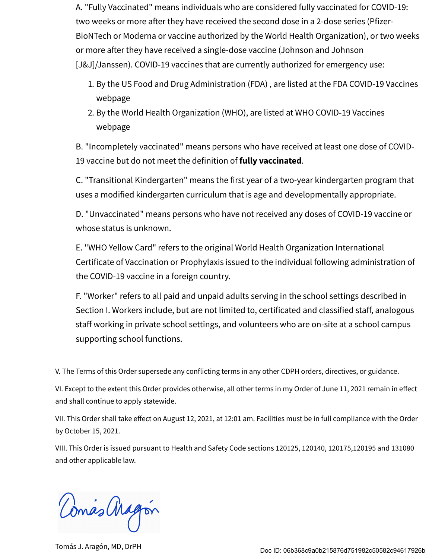A. "Fully Vaccinated" means individuals who are considered fully vaccinated for COVID-19: two weeks or more after they have received the second dose in a 2-dose series (Pfizer-BioNTech or Moderna or vaccine authorized by the World Health Organization), or two weeks or more after they have received a single-dose vaccine (Johnson and Johnson [J&J]/Janssen). COVID-19 vaccines that are currently authorized for emergency use:

- 1. By the US Food and Drug Administration (FDA) , are listed at the FDA COVID-19 Vaccines webpage
- 2. By the World Health Organization (WHO), are listed at WHO COVID-19 Vaccines webpage

B. "Incompletely vaccinated" means persons who have received at least one dose of COVID-19 vaccine but do not meet the definition of **fully vaccinated**.

C. "Transitional Kindergarten" means the first year of a two-year kindergarten program that uses a modified kindergarten curriculum that is age and developmentally appropriate.

D. "Unvaccinated" means persons who have not received any doses of COVID-19 vaccine or whose status is unknown.

E. "WHO Yellow Card" refers to the original World Health Organization International Certificate of Vaccination or Prophylaxis issued to the individual following administration of the COVID-19 vaccine in a foreign country.

F. "Worker" refers to all paid and unpaid adults serving in the school settings described in Section I. Workers include, but are not limited to, certificated and classified staff, analogous staff working in private school settings, and volunteers who are on-site at a school campus supporting school functions.

V. The Terms of this Order supersede any conflicting terms in any other CDPH orders, directives, or guidance.

VI. Except to the extent this Order provides otherwise, all other terms in my Order of June 11, 2021 remain in effect and shall continue to apply statewide.

VII. This Order shall take effect on August 12, 2021, at 12:01 am. Facilities must be in full compliance with the Order by October 15, 2021.

VIII. This Order is issued pursuant to Health and Safety Code sections 120125, 120140, 120175,120195 and 131080 and other applicable law.

Comás Magon

Tomás J. Aragón, MD, DrPH